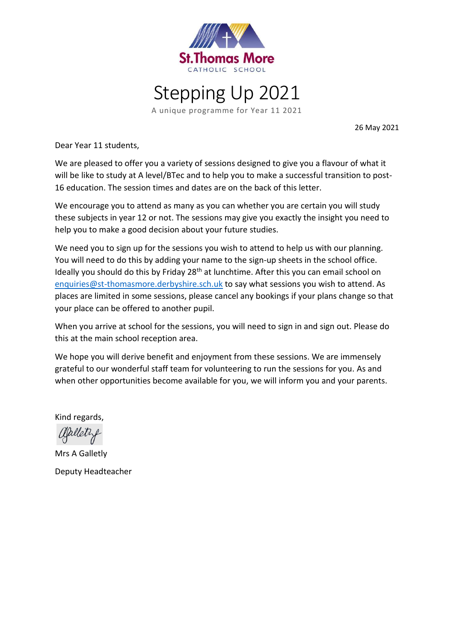



A unique programme for Year 11 2021

26 May 2021

Dear Year 11 students,

We are pleased to offer you a variety of sessions designed to give you a flavour of what it will be like to study at A level/BTec and to help you to make a successful transition to post-16 education. The session times and dates are on the back of this letter.

We encourage you to attend as many as you can whether you are certain you will study these subjects in year 12 or not. The sessions may give you exactly the insight you need to help you to make a good decision about your future studies.

We need you to sign up for the sessions you wish to attend to help us with our planning. You will need to do this by adding your name to the sign-up sheets in the school office. Ideally you should do this by Friday 28<sup>th</sup> at lunchtime. After this you can email school on [enquiries@st-thomasmore.derbyshire.sch.uk](mailto:enquiries@st-thomasmore.derbyshire.sch.uk) to say what sessions you wish to attend. As places are limited in some sessions, please cancel any bookings if your plans change so that your place can be offered to another pupil.

When you arrive at school for the sessions, you will need to sign in and sign out. Please do this at the main school reception area.

We hope you will derive benefit and enjoyment from these sessions. We are immensely grateful to our wonderful staff team for volunteering to run the sessions for you. As and when other opportunities become available for you, we will inform you and your parents.

Kind regards,

aplety

Mrs A Galletly Deputy Headteacher